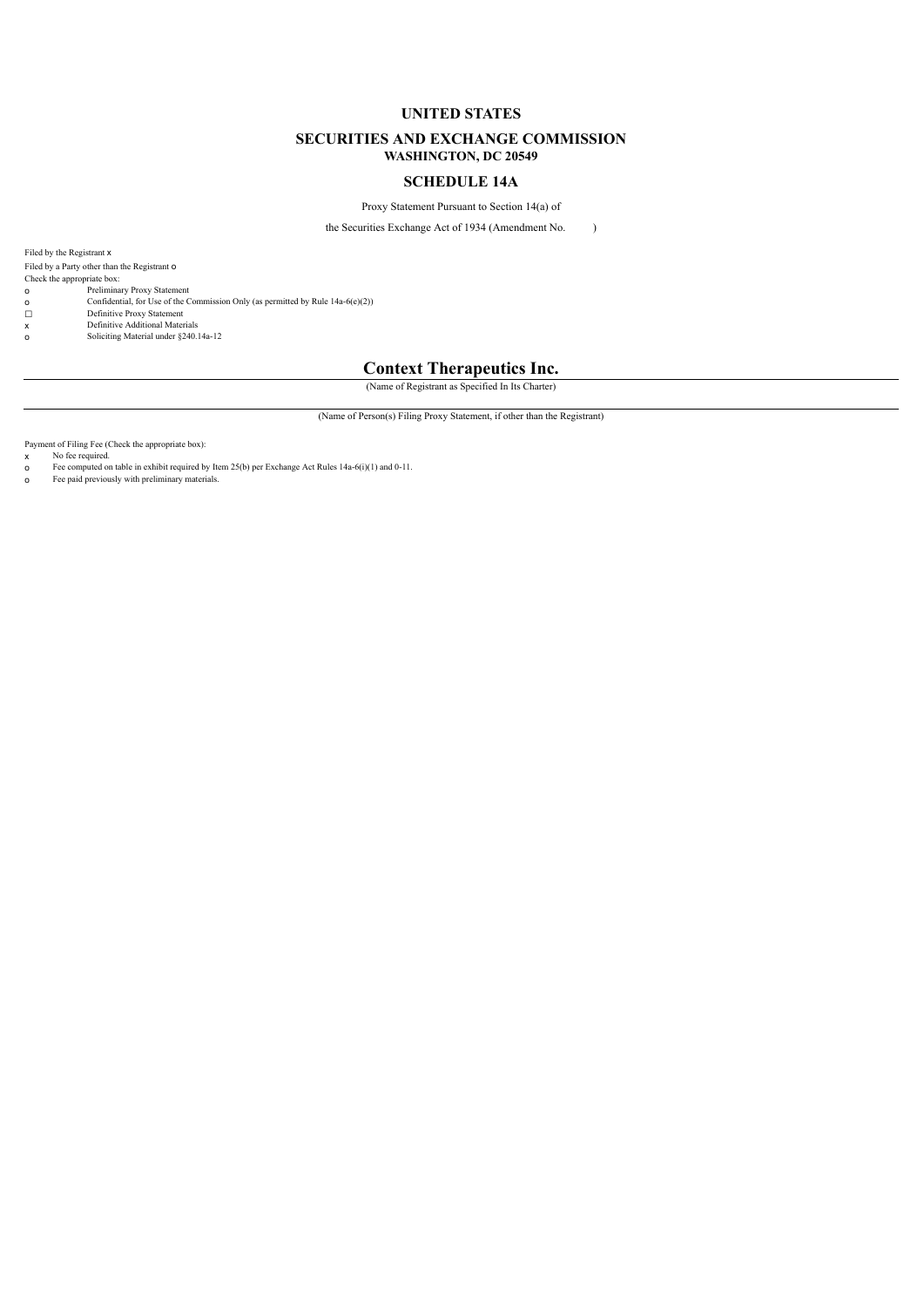### **UNITED STATES**

#### **SECURITIES AND EXCHANGE COMMISSION WASHINGTON, DC 20549**

#### **SCHEDULE 14A**

Proxy Statement Pursuant to Section 14(a) of

the Securities Exchange Act of 1934 (Amendment No. )

Filed by the Registrant x

Filed by a Party other than the Registrant o

Check the appropriate box:

- 
- o Preliminary Proxy Statement o Confidential, for Use of the Commission Only (as permitted by Rule 14a-6(e)(2))
- 
- **ο** Confidential, for Use of the <br>
Definitive Proxy Statement<br> **x** Definitive Additional Mater<br> **o** Soliciting Material under §2 x Definitive Additional Materials o Soliciting Material under §240.14a-12

## **Context Therapeutics Inc.**

(Name of Registrant as Specified In Its Charter)

(Name of Person(s) Filing Proxy Statement, if other than the Registrant)

Payment of Filing Fee (Check the appropriate box):

x No fee required. o Fee computed on table in exhibit required by Item 25(b) per Exchange Act Rules 14a-6(i)(1) and 0-11.

o Fee paid previously with preliminary materials.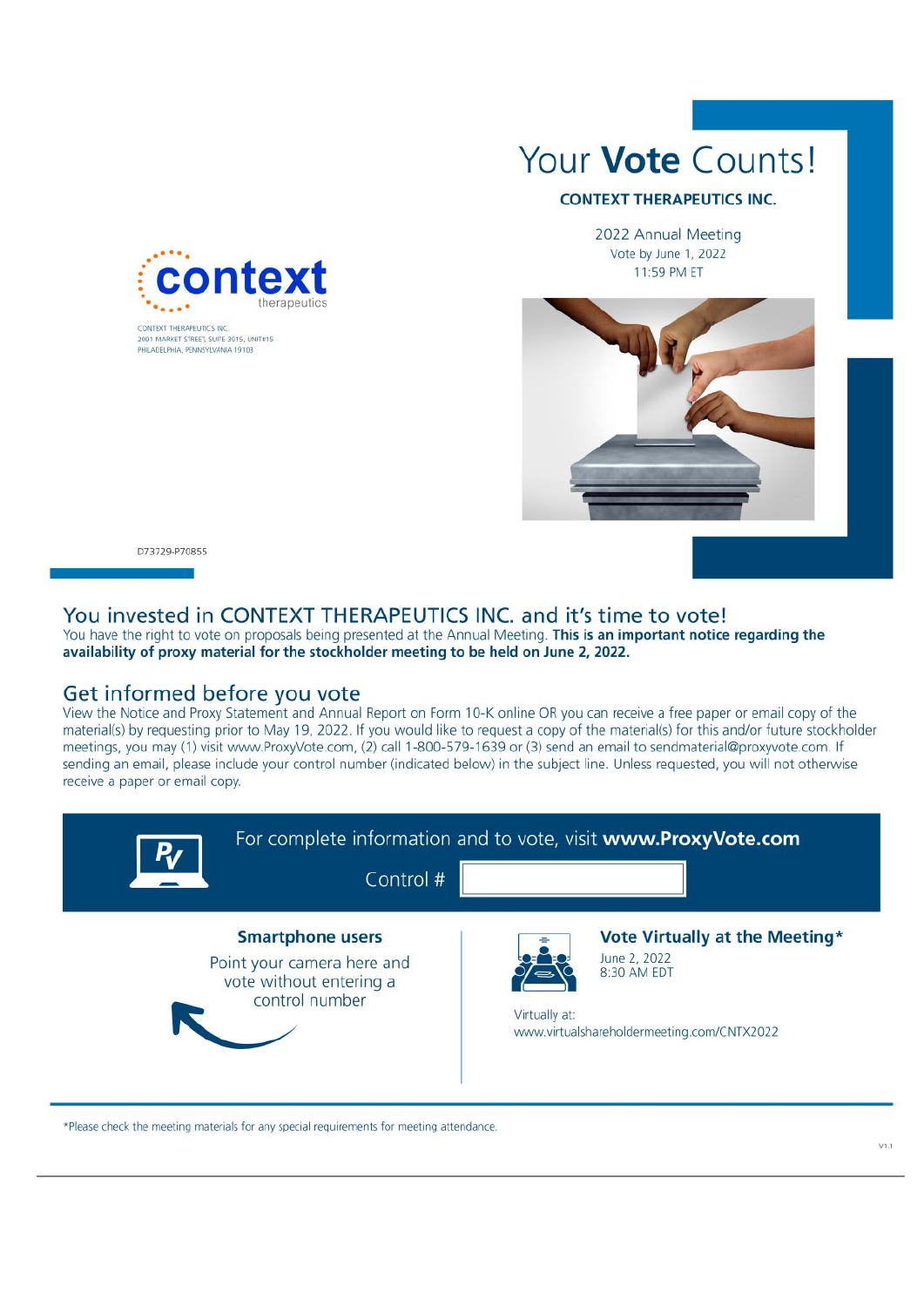

2001 MARKET CTREET SHITE 2015 HAITE15 PHILADELPHIA, PENNSYLVANIA 19103

Your Vote Counts!

## **CONTEXT THERAPEUTICS INC.**

2022 Annual Meeting Vote by June 1, 2022 11:59 PM ET



D73729-P70855

ň

# You invested in CONTEXT THERAPEUTICS INC. and it's time to vote!

You have the right to vote on proposals being presented at the Annual Meeting. This is an important notice regarding the availability of proxy material for the stockholder meeting to be held on June 2, 2022.

## Get informed before you vote

View the Notice and Proxy Statement and Annual Report on Form 10-K online OR you can receive a free paper or email copy of the material(s) by requesting prior to May 19, 2022. If you would like to request a copy of the material(s) for this and/or future stockholder meetings, you may (1) visit www.ProxyVote.com, (2) call 1-800-579-1639 or (3) send an email to sendmaterial@proxyvote.com. If sending an email, please include your control number (indicated below) in the subject line. Unless requested, you will not otherwise receive a paper or email copy.



\*Please check the meeting materials for any special requirements for meeting attendance.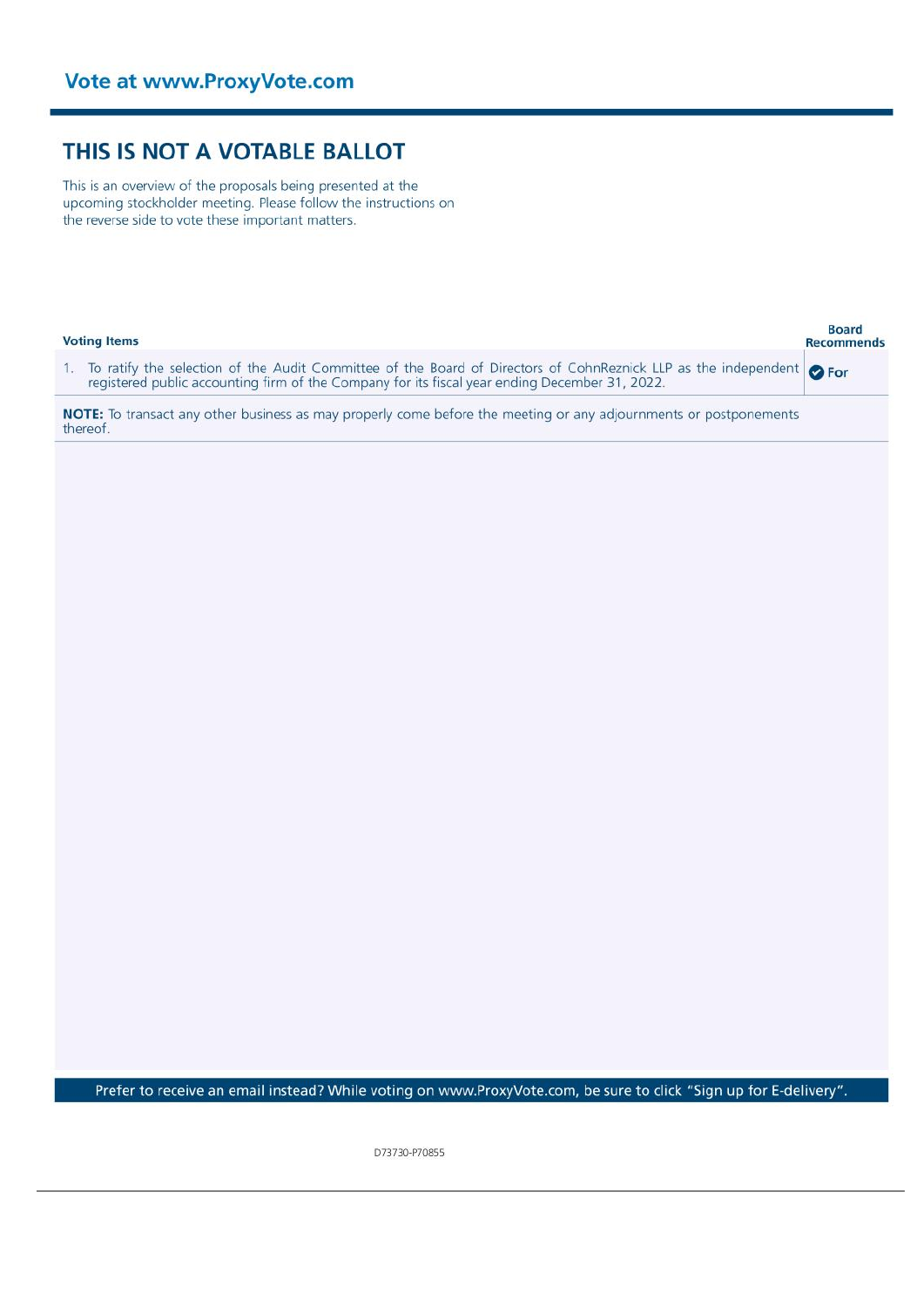# THIS IS NOT A VOTABLE BALLOT

This is an overview of the proposals being presented at the upcoming stockholder meeting. Please follow the instructions on the reverse side to vote these important matters.

| <b>Voting Items</b>                                                                                                                                                                                              | Board<br><b>Recommends</b> |
|------------------------------------------------------------------------------------------------------------------------------------------------------------------------------------------------------------------|----------------------------|
| 1. To ratify the selection of the Audit Committee of the Board of Directors of CohnReznick LLP as the independent registered public accounting firm of the Company for its fiscal year ending December 31, 2022. | <b>O</b> For               |
| NOTE: To transact any other business as may properly come before the meeting or any adjournments or postponements<br>thereof.                                                                                    |                            |
|                                                                                                                                                                                                                  |                            |
|                                                                                                                                                                                                                  |                            |
|                                                                                                                                                                                                                  |                            |
|                                                                                                                                                                                                                  |                            |
|                                                                                                                                                                                                                  |                            |
|                                                                                                                                                                                                                  |                            |
|                                                                                                                                                                                                                  |                            |
|                                                                                                                                                                                                                  |                            |
|                                                                                                                                                                                                                  |                            |
|                                                                                                                                                                                                                  |                            |
|                                                                                                                                                                                                                  |                            |
|                                                                                                                                                                                                                  |                            |
|                                                                                                                                                                                                                  |                            |
|                                                                                                                                                                                                                  |                            |
|                                                                                                                                                                                                                  |                            |
|                                                                                                                                                                                                                  |                            |
| Prefer to receive an email instead? While voting on www.ProxyVote.com, be sure to click "Sign up for E-delivery".                                                                                                |                            |

D73730-P70855